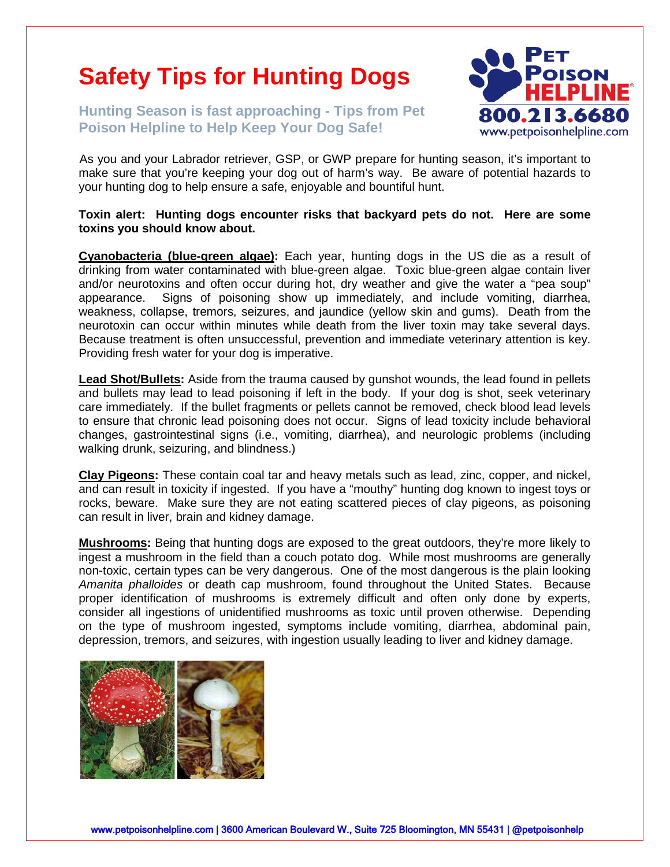## **Safety Tips for Hunting Dogs**

**Hunting Season is fast approaching - Tips from Pet Poison Helpline to Help Keep Your Dog Safe!**



As you and your Labrador retriever, GSP, or GWP prepare for hunting season, it's important to make sure that you're keeping your dog out of harm's way. Be aware of potential hazards to your hunting dog to help ensure a safe, enjoyable and bountiful hunt.

**Toxin alert: Hunting dogs encounter risks that backyard pets do not. Here are some toxins you should know about.**

**Cyanobacteria (blue-green algae):** Each year, hunting dogs in the US die as a result of drinking from water contaminated with blue-green algae. Toxic blue-green algae contain liver and/or neurotoxins and often occur during hot, dry weather and give the water a "pea soup" appearance. Signs of poisoning show up immediately, and include vomiting, diarrhea, weakness, collapse, tremors, seizures, and jaundice (yellow skin and gums). Death from the neurotoxin can occur within minutes while death from the liver toxin may take several days. Because treatment is often unsuccessful, prevention and immediate veterinary attention is key. Providing fresh water for your dog is imperative.

**Lead Shot/Bullets:** Aside from the trauma caused by gunshot wounds, the lead found in pellets and bullets may lead to lead poisoning if left in the body. If your dog is shot, seek veterinary care immediately. If the bullet fragments or pellets cannot be removed, check blood lead levels to ensure that chronic lead poisoning does not occur. Signs of lead toxicity include behavioral changes, gastrointestinal signs (i.e., vomiting, diarrhea), and neurologic problems (including walking drunk, seizuring, and blindness.)

**Clay Pigeons:** These contain coal tar and heavy metals such as lead, zinc, copper, and nickel, and can result in toxicity if ingested. If you have a "mouthy" hunting dog known to ingest toys or rocks, beware. Make sure they are not eating scattered pieces of clay pigeons, as poisoning can result in liver, brain and kidney damage.

**Mushrooms:** Being that hunting dogs are exposed to the great outdoors, they're more likely to ingest a mushroom in the field than a couch potato dog. While most mushrooms are generally non-toxic, certain types can be very dangerous. One of the most dangerous is the plain looking *Amanita phalloides* or death cap mushroom, found throughout the United States. Because proper identification of mushrooms is extremely difficult and often only done by experts, consider all ingestions of unidentified mushrooms as toxic until proven otherwise. Depending on the type of mushroom ingested, symptoms include vomiting, diarrhea, abdominal pain, depression, tremors, and seizures, with ingestion usually leading to liver and kidney damage.